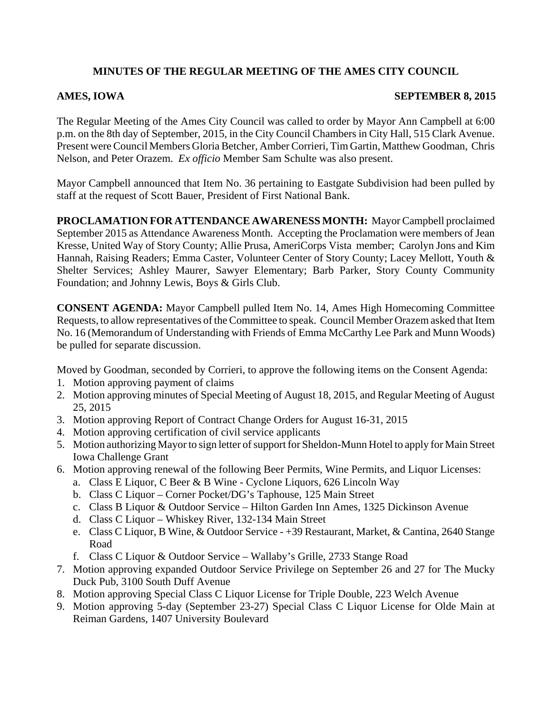# **MINUTES OF THE REGULAR MEETING OF THE AMES CITY COUNCIL**

## AMES, IOWA **SEPTEMBER 8, 2015**

The Regular Meeting of the Ames City Council was called to order by Mayor Ann Campbell at 6:00 p.m. on the 8th day of September, 2015, in the City Council Chambers in City Hall, 515 Clark Avenue. Present were Council Members Gloria Betcher, Amber Corrieri, Tim Gartin, Matthew Goodman, Chris Nelson, and Peter Orazem. *Ex officio* Member Sam Schulte was also present.

Mayor Campbell announced that Item No. 36 pertaining to Eastgate Subdivision had been pulled by staff at the request of Scott Bauer, President of First National Bank.

**PROCLAMATION FOR ATTENDANCE AWARENESS MONTH:** Mayor Campbell proclaimed September 2015 as Attendance Awareness Month. Accepting the Proclamation were members of Jean Kresse, United Way of Story County; Allie Prusa, AmeriCorps Vista member; Carolyn Jons and Kim Hannah, Raising Readers; Emma Caster, Volunteer Center of Story County; Lacey Mellott, Youth & Shelter Services; Ashley Maurer, Sawyer Elementary; Barb Parker, Story County Community Foundation; and Johnny Lewis, Boys & Girls Club.

**CONSENT AGENDA:** Mayor Campbell pulled Item No. 14, Ames High Homecoming Committee Requests, to allow representatives of the Committee to speak. Council Member Orazem asked that Item No. 16 (Memorandum of Understanding with Friends of Emma McCarthy Lee Park and Munn Woods) be pulled for separate discussion.

Moved by Goodman, seconded by Corrieri, to approve the following items on the Consent Agenda:

- 1. Motion approving payment of claims
- 2. Motion approving minutes of Special Meeting of August 18, 2015, and Regular Meeting of August 25, 2015
- 3. Motion approving Report of Contract Change Orders for August 16-31, 2015
- 4. Motion approving certification of civil service applicants
- 5. Motion authorizing Mayor to sign letter of support for Sheldon-Munn Hotel to apply for Main Street Iowa Challenge Grant
- 6. Motion approving renewal of the following Beer Permits, Wine Permits, and Liquor Licenses:
	- a. Class E Liquor, C Beer & B Wine Cyclone Liquors, 626 Lincoln Way
	- b. Class C Liquor Corner Pocket/DG's Taphouse, 125 Main Street
	- c. Class B Liquor & Outdoor Service Hilton Garden Inn Ames, 1325 Dickinson Avenue
	- d. Class C Liquor Whiskey River, 132-134 Main Street
	- e. Class C Liquor, B Wine, & Outdoor Service +39 Restaurant, Market, & Cantina, 2640 Stange Road
	- f. Class C Liquor & Outdoor Service Wallaby's Grille, 2733 Stange Road
- 7. Motion approving expanded Outdoor Service Privilege on September 26 and 27 for The Mucky Duck Pub, 3100 South Duff Avenue
- 8. Motion approving Special Class C Liquor License for Triple Double, 223 Welch Avenue
- 9. Motion approving 5-day (September 23-27) Special Class C Liquor License for Olde Main at Reiman Gardens, 1407 University Boulevard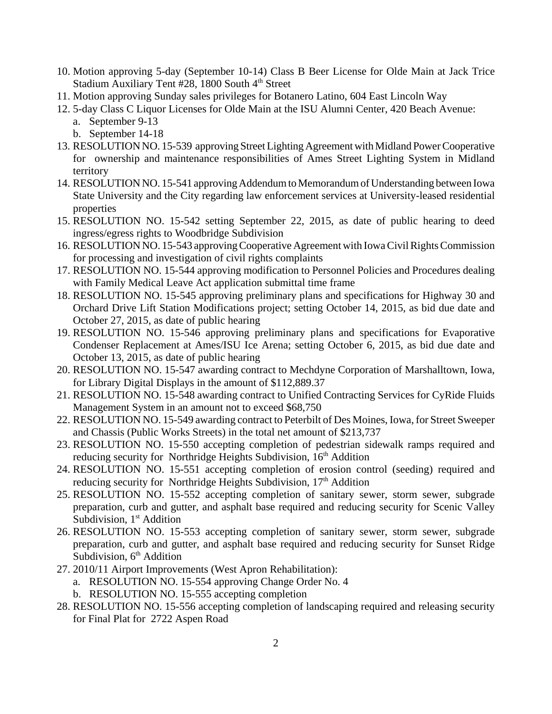- 10. Motion approving 5-day (September 10-14) Class B Beer License for Olde Main at Jack Trice Stadium Auxiliary Tent  $#28$ , 1800 South  $4<sup>th</sup>$  Street
- 11. Motion approving Sunday sales privileges for Botanero Latino, 604 East Lincoln Way
- 12. 5-day Class C Liquor Licenses for Olde Main at the ISU Alumni Center, 420 Beach Avenue:
	- a. September 9-13
	- b. September 14-18
- 13. RESOLUTION NO. 15-539 approving Street Lighting Agreement with Midland Power Cooperative for ownership and maintenance responsibilities of Ames Street Lighting System in Midland territory
- 14. RESOLUTION NO. 15-541 approving Addendum to Memorandum of Understanding between Iowa State University and the City regarding law enforcement services at University-leased residential properties
- 15. RESOLUTION NO. 15-542 setting September 22, 2015, as date of public hearing to deed ingress/egress rights to Woodbridge Subdivision
- 16. RESOLUTION NO. 15-543 approving Cooperative Agreement with Iowa Civil Rights Commission for processing and investigation of civil rights complaints
- 17. RESOLUTION NO. 15-544 approving modification to Personnel Policies and Procedures dealing with Family Medical Leave Act application submittal time frame
- 18. RESOLUTION NO. 15-545 approving preliminary plans and specifications for Highway 30 and Orchard Drive Lift Station Modifications project; setting October 14, 2015, as bid due date and October 27, 2015, as date of public hearing
- 19. RESOLUTION NO. 15-546 approving preliminary plans and specifications for Evaporative Condenser Replacement at Ames/ISU Ice Arena; setting October 6, 2015, as bid due date and October 13, 2015, as date of public hearing
- 20. RESOLUTION NO. 15-547 awarding contract to Mechdyne Corporation of Marshalltown, Iowa, for Library Digital Displays in the amount of \$112,889.37
- 21. RESOLUTION NO. 15-548 awarding contract to Unified Contracting Services for CyRide Fluids Management System in an amount not to exceed \$68,750
- 22. RESOLUTION NO. 15-549 awarding contract to Peterbilt of Des Moines, Iowa, for Street Sweeper and Chassis (Public Works Streets) in the total net amount of \$213,737
- 23. RESOLUTION NO. 15-550 accepting completion of pedestrian sidewalk ramps required and reducing security for Northridge Heights Subdivision,  $16<sup>th</sup>$  Addition
- 24. RESOLUTION NO. 15-551 accepting completion of erosion control (seeding) required and reducing security for Northridge Heights Subdivision,  $17<sup>th</sup>$  Addition
- 25. RESOLUTION NO. 15-552 accepting completion of sanitary sewer, storm sewer, subgrade preparation, curb and gutter, and asphalt base required and reducing security for Scenic Valley Subdivision,  $1<sup>st</sup>$  Addition
- 26. RESOLUTION NO. 15-553 accepting completion of sanitary sewer, storm sewer, subgrade preparation, curb and gutter, and asphalt base required and reducing security for Sunset Ridge Subdivision,  $6<sup>th</sup>$  Addition
- 27. 2010/11 Airport Improvements (West Apron Rehabilitation):
	- a. RESOLUTION NO. 15-554 approving Change Order No. 4
	- b. RESOLUTION NO. 15-555 accepting completion
- 28. RESOLUTION NO. 15-556 accepting completion of landscaping required and releasing security for Final Plat for 2722 Aspen Road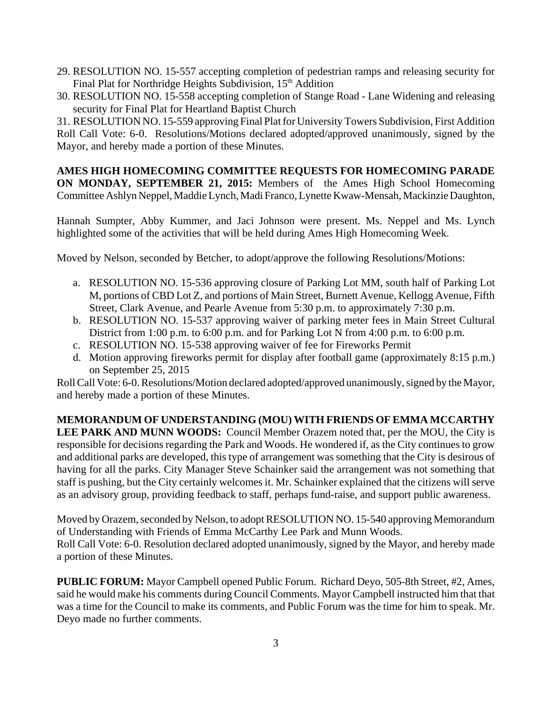- 29. RESOLUTION NO. 15-557 accepting completion of pedestrian ramps and releasing security for Final Plat for Northridge Heights Subdivision, 15<sup>th</sup> Addition
- 30. RESOLUTION NO. 15-558 accepting completion of Stange Road Lane Widening and releasing security for Final Plat for Heartland Baptist Church

31. RESOLUTION NO. 15-559 approving Final Plat for University Towers Subdivision, First Addition Roll Call Vote: 6-0. Resolutions/Motions declared adopted/approved unanimously, signed by the Mayor, and hereby made a portion of these Minutes.

**AMES HIGH HOMECOMING COMMITTEE REQUESTS FOR HOMECOMING PARADE ON MONDAY, SEPTEMBER 21, 2015:** Members of the Ames High School Homecoming Committee Ashlyn Neppel, Maddie Lynch, Madi Franco, Lynette Kwaw-Mensah, Mackinzie Daughton,

Hannah Sumpter, Abby Kummer, and Jaci Johnson were present. Ms. Neppel and Ms. Lynch highlighted some of the activities that will be held during Ames High Homecoming Week.

Moved by Nelson, seconded by Betcher, to adopt/approve the following Resolutions/Motions:

- a. RESOLUTION NO. 15-536 approving closure of Parking Lot MM, south half of Parking Lot M, portions of CBD Lot Z, and portions of Main Street, Burnett Avenue, Kellogg Avenue, Fifth Street, Clark Avenue, and Pearle Avenue from 5:30 p.m. to approximately 7:30 p.m.
- b. RESOLUTION NO. 15-537 approving waiver of parking meter fees in Main Street Cultural District from 1:00 p.m. to 6:00 p.m. and for Parking Lot N from 4:00 p.m. to 6:00 p.m.
- c. RESOLUTION NO. 15-538 approving waiver of fee for Fireworks Permit
- d. Motion approving fireworks permit for display after football game (approximately 8:15 p.m.) on September 25, 2015

Roll Call Vote: 6-0. Resolutions/Motion declared adopted/approved unanimously, signed by the Mayor, and hereby made a portion of these Minutes.

**MEMORANDUM OF UNDERSTANDING (MOU) WITH FRIENDS OF EMMA MCCARTHY LEE PARK AND MUNN WOODS:** Council Member Orazem noted that, per the MOU, the City is responsible for decisions regarding the Park and Woods. He wondered if, as the City continues to grow and additional parks are developed, this type of arrangement was something that the City is desirous of having for all the parks. City Manager Steve Schainker said the arrangement was not something that staff is pushing, but the City certainly welcomes it. Mr. Schainker explained that the citizens will serve as an advisory group, providing feedback to staff, perhaps fund-raise, and support public awareness.

Moved by Orazem, seconded by Nelson, to adopt RESOLUTION NO. 15-540 approving Memorandum of Understanding with Friends of Emma McCarthy Lee Park and Munn Woods. Roll Call Vote: 6-0. Resolution declared adopted unanimously, signed by the Mayor, and hereby made a portion of these Minutes.

**PUBLIC FORUM:** Mayor Campbell opened Public Forum. Richard Deyo, 505-8th Street, #2, Ames, said he would make his comments during Council Comments. Mayor Campbell instructed him that that was a time for the Council to make its comments, and Public Forum was the time for him to speak. Mr. Deyo made no further comments.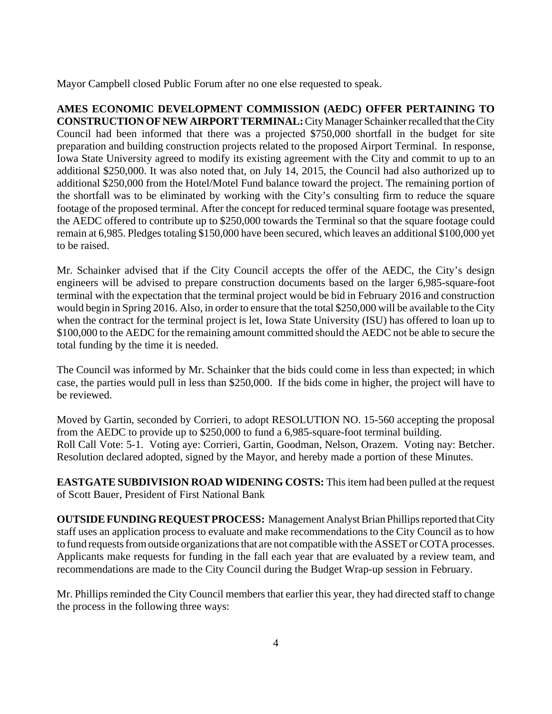Mayor Campbell closed Public Forum after no one else requested to speak.

**AMES ECONOMIC DEVELOPMENT COMMISSION (AEDC) OFFER PERTAINING TO CONSTRUCTION OF NEW AIRPORT TERMINAL:** City Manager Schainker recalled that the City Council had been informed that there was a projected \$750,000 shortfall in the budget for site preparation and building construction projects related to the proposed Airport Terminal. In response, Iowa State University agreed to modify its existing agreement with the City and commit to up to an additional \$250,000. It was also noted that, on July 14, 2015, the Council had also authorized up to additional \$250,000 from the Hotel/Motel Fund balance toward the project. The remaining portion of the shortfall was to be eliminated by working with the City's consulting firm to reduce the square footage of the proposed terminal. After the concept for reduced terminal square footage was presented, the AEDC offered to contribute up to \$250,000 towards the Terminal so that the square footage could remain at 6,985. Pledges totaling \$150,000 have been secured, which leaves an additional \$100,000 yet to be raised.

Mr. Schainker advised that if the City Council accepts the offer of the AEDC, the City's design engineers will be advised to prepare construction documents based on the larger 6,985-square-foot terminal with the expectation that the terminal project would be bid in February 2016 and construction would begin in Spring 2016. Also, in order to ensure that the total \$250,000 will be available to the City when the contract for the terminal project is let, Iowa State University (ISU) has offered to loan up to \$100,000 to the AEDC for the remaining amount committed should the AEDC not be able to secure the total funding by the time it is needed.

The Council was informed by Mr. Schainker that the bids could come in less than expected; in which case, the parties would pull in less than \$250,000. If the bids come in higher, the project will have to be reviewed.

Moved by Gartin, seconded by Corrieri, to adopt RESOLUTION NO. 15-560 accepting the proposal from the AEDC to provide up to \$250,000 to fund a 6,985-square-foot terminal building. Roll Call Vote: 5-1. Voting aye: Corrieri, Gartin, Goodman, Nelson, Orazem. Voting nay: Betcher. Resolution declared adopted, signed by the Mayor, and hereby made a portion of these Minutes.

**EASTGATE SUBDIVISION ROAD WIDENING COSTS:** This item had been pulled at the request of Scott Bauer, President of First National Bank

**OUTSIDE FUNDING REQUEST PROCESS:** Management Analyst Brian Phillips reported that City staff uses an application process to evaluate and make recommendations to the City Council as to how to fund requests from outside organizations that are not compatible with the ASSET or COTA processes. Applicants make requests for funding in the fall each year that are evaluated by a review team, and recommendations are made to the City Council during the Budget Wrap-up session in February.

Mr. Phillips reminded the City Council members that earlier this year, they had directed staff to change the process in the following three ways: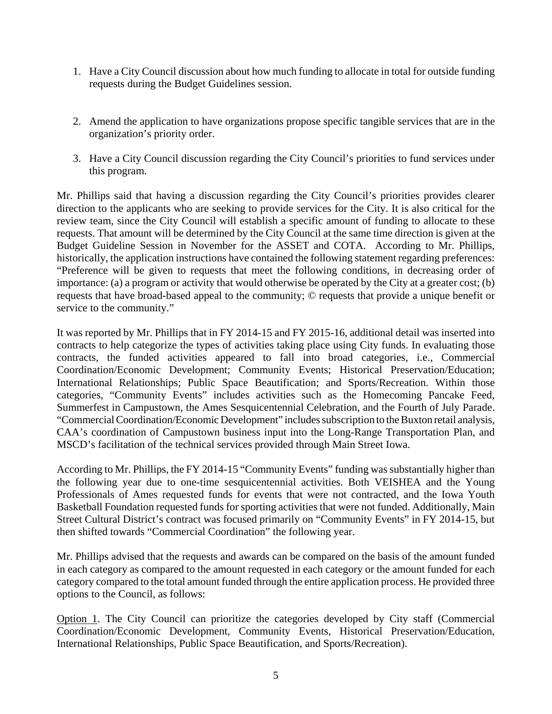- 1. Have a City Council discussion about how much funding to allocate in total for outside funding requests during the Budget Guidelines session.
- 2. Amend the application to have organizations propose specific tangible services that are in the organization's priority order.
- 3. Have a City Council discussion regarding the City Council's priorities to fund services under this program.

Mr. Phillips said that having a discussion regarding the City Council's priorities provides clearer direction to the applicants who are seeking to provide services for the City. It is also critical for the review team, since the City Council will establish a specific amount of funding to allocate to these requests. That amount will be determined by the City Council at the same time direction is given at the Budget Guideline Session in November for the ASSET and COTA. According to Mr. Phillips, historically, the application instructions have contained the following statement regarding preferences: "Preference will be given to requests that meet the following conditions, in decreasing order of importance: (a) a program or activity that would otherwise be operated by the City at a greater cost; (b) requests that have broad-based appeal to the community; © requests that provide a unique benefit or service to the community."

It was reported by Mr. Phillips that in FY 2014-15 and FY 2015-16, additional detail was inserted into contracts to help categorize the types of activities taking place using City funds. In evaluating those contracts, the funded activities appeared to fall into broad categories, i.e., Commercial Coordination/Economic Development; Community Events; Historical Preservation/Education; International Relationships; Public Space Beautification; and Sports/Recreation. Within those categories, "Community Events" includes activities such as the Homecoming Pancake Feed, Summerfest in Campustown, the Ames Sesquicentennial Celebration, and the Fourth of July Parade. "Commercial Coordination/Economic Development" includes subscription to the Buxton retail analysis, CAA's coordination of Campustown business input into the Long-Range Transportation Plan, and MSCD's facilitation of the technical services provided through Main Street Iowa.

According to Mr. Phillips, the FY 2014-15 "Community Events" funding was substantially higher than the following year due to one-time sesquicentennial activities. Both VEISHEA and the Young Professionals of Ames requested funds for events that were not contracted, and the Iowa Youth Basketball Foundation requested funds for sporting activities that were not funded. Additionally, Main Street Cultural District's contract was focused primarily on "Community Events" in FY 2014-15, but then shifted towards "Commercial Coordination" the following year.

Mr. Phillips advised that the requests and awards can be compared on the basis of the amount funded in each category as compared to the amount requested in each category or the amount funded for each category compared to the total amount funded through the entire application process. He provided three options to the Council, as follows:

Option 1. The City Council can prioritize the categories developed by City staff (Commercial Coordination/Economic Development, Community Events, Historical Preservation/Education, International Relationships, Public Space Beautification, and Sports/Recreation).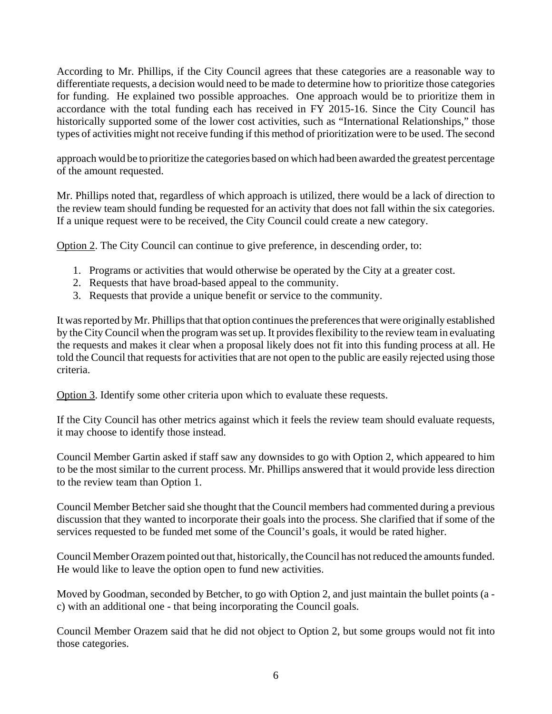According to Mr. Phillips, if the City Council agrees that these categories are a reasonable way to differentiate requests, a decision would need to be made to determine how to prioritize those categories for funding. He explained two possible approaches. One approach would be to prioritize them in accordance with the total funding each has received in FY 2015-16. Since the City Council has historically supported some of the lower cost activities, such as "International Relationships," those types of activities might not receive funding if this method of prioritization were to be used. The second

approach would be to prioritize the categories based on which had been awarded the greatest percentage of the amount requested.

Mr. Phillips noted that, regardless of which approach is utilized, there would be a lack of direction to the review team should funding be requested for an activity that does not fall within the six categories. If a unique request were to be received, the City Council could create a new category.

Option 2. The City Council can continue to give preference, in descending order, to:

- 1. Programs or activities that would otherwise be operated by the City at a greater cost.
- 2. Requests that have broad-based appeal to the community.
- 3. Requests that provide a unique benefit or service to the community.

It was reported by Mr. Phillips that that option continues the preferences that were originally established by the City Council when the program was set up. It provides flexibility to the review team in evaluating the requests and makes it clear when a proposal likely does not fit into this funding process at all. He told the Council that requests for activities that are not open to the public are easily rejected using those criteria.

Option 3. Identify some other criteria upon which to evaluate these requests.

If the City Council has other metrics against which it feels the review team should evaluate requests, it may choose to identify those instead.

Council Member Gartin asked if staff saw any downsides to go with Option 2, which appeared to him to be the most similar to the current process. Mr. Phillips answered that it would provide less direction to the review team than Option 1.

Council Member Betcher said she thought that the Council members had commented during a previous discussion that they wanted to incorporate their goals into the process. She clarified that if some of the services requested to be funded met some of the Council's goals, it would be rated higher.

Council Member Orazem pointed out that, historically, the Council has not reduced the amounts funded. He would like to leave the option open to fund new activities.

Moved by Goodman, seconded by Betcher, to go with Option 2, and just maintain the bullet points (a c) with an additional one - that being incorporating the Council goals.

Council Member Orazem said that he did not object to Option 2, but some groups would not fit into those categories.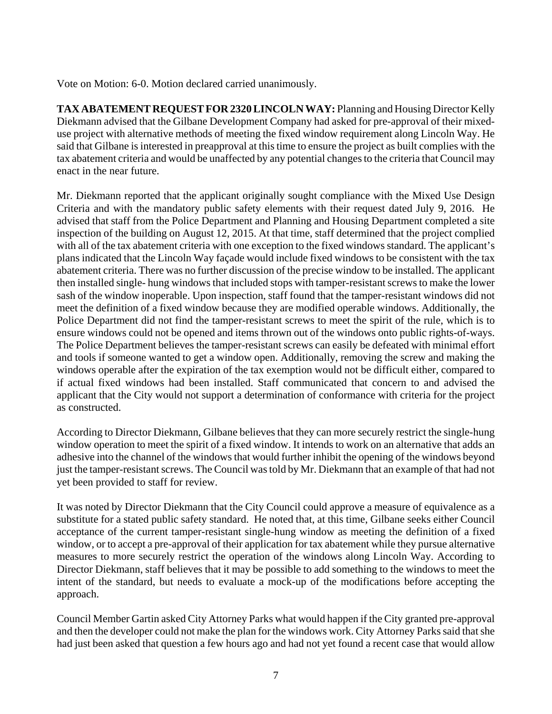Vote on Motion: 6-0. Motion declared carried unanimously.

**TAX ABATEMENT REQUEST FOR 2320 LINCOLN WAY:** Planning and Housing Director Kelly Diekmann advised that the Gilbane Development Company had asked for pre-approval of their mixeduse project with alternative methods of meeting the fixed window requirement along Lincoln Way. He said that Gilbane is interested in preapproval at this time to ensure the project as built complies with the tax abatement criteria and would be unaffected by any potential changes to the criteria that Council may enact in the near future.

Mr. Diekmann reported that the applicant originally sought compliance with the Mixed Use Design Criteria and with the mandatory public safety elements with their request dated July 9, 2016. He advised that staff from the Police Department and Planning and Housing Department completed a site inspection of the building on August 12, 2015. At that time, staff determined that the project complied with all of the tax abatement criteria with one exception to the fixed windows standard. The applicant's plans indicated that the Lincoln Way façade would include fixed windows to be consistent with the tax abatement criteria. There was no further discussion of the precise window to be installed. The applicant then installed single- hung windows that included stops with tamper-resistant screws to make the lower sash of the window inoperable. Upon inspection, staff found that the tamper-resistant windows did not meet the definition of a fixed window because they are modified operable windows. Additionally, the Police Department did not find the tamper-resistant screws to meet the spirit of the rule, which is to ensure windows could not be opened and items thrown out of the windows onto public rights-of-ways. The Police Department believes the tamper-resistant screws can easily be defeated with minimal effort and tools if someone wanted to get a window open. Additionally, removing the screw and making the windows operable after the expiration of the tax exemption would not be difficult either, compared to if actual fixed windows had been installed. Staff communicated that concern to and advised the applicant that the City would not support a determination of conformance with criteria for the project as constructed.

According to Director Diekmann, Gilbane believes that they can more securely restrict the single-hung window operation to meet the spirit of a fixed window. It intends to work on an alternative that adds an adhesive into the channel of the windows that would further inhibit the opening of the windows beyond just the tamper-resistant screws. The Council was told by Mr. Diekmann that an example of that had not yet been provided to staff for review.

It was noted by Director Diekmann that the City Council could approve a measure of equivalence as a substitute for a stated public safety standard. He noted that, at this time, Gilbane seeks either Council acceptance of the current tamper-resistant single-hung window as meeting the definition of a fixed window, or to accept a pre-approval of their application for tax abatement while they pursue alternative measures to more securely restrict the operation of the windows along Lincoln Way. According to Director Diekmann, staff believes that it may be possible to add something to the windows to meet the intent of the standard, but needs to evaluate a mock-up of the modifications before accepting the approach.

Council Member Gartin asked City Attorney Parks what would happen if the City granted pre-approval and then the developer could not make the plan for the windows work. City Attorney Parks said that she had just been asked that question a few hours ago and had not yet found a recent case that would allow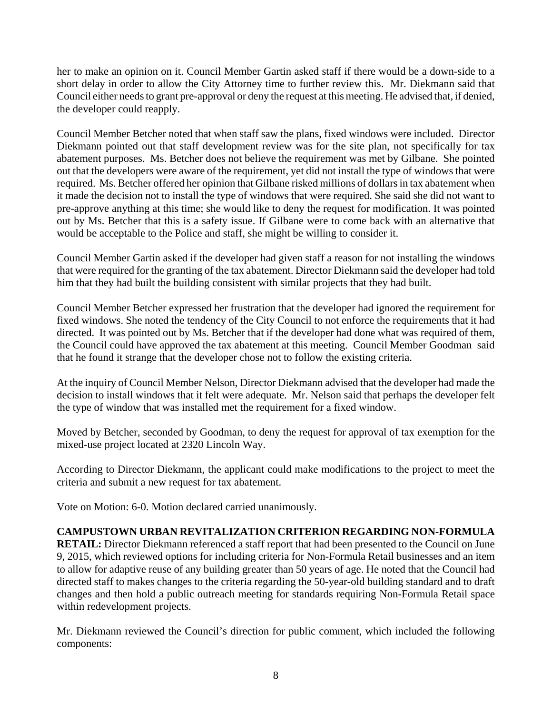her to make an opinion on it. Council Member Gartin asked staff if there would be a down-side to a short delay in order to allow the City Attorney time to further review this. Mr. Diekmann said that Council either needs to grant pre-approval or deny the request at this meeting. He advised that, if denied, the developer could reapply.

Council Member Betcher noted that when staff saw the plans, fixed windows were included. Director Diekmann pointed out that staff development review was for the site plan, not specifically for tax abatement purposes. Ms. Betcher does not believe the requirement was met by Gilbane. She pointed out that the developers were aware of the requirement, yet did not install the type of windows that were required. Ms. Betcher offered her opinion that Gilbane risked millions of dollars in tax abatement when it made the decision not to install the type of windows that were required. She said she did not want to pre-approve anything at this time; she would like to deny the request for modification. It was pointed out by Ms. Betcher that this is a safety issue. If Gilbane were to come back with an alternative that would be acceptable to the Police and staff, she might be willing to consider it.

Council Member Gartin asked if the developer had given staff a reason for not installing the windows that were required for the granting of the tax abatement. Director Diekmann said the developer had told him that they had built the building consistent with similar projects that they had built.

Council Member Betcher expressed her frustration that the developer had ignored the requirement for fixed windows. She noted the tendency of the City Council to not enforce the requirements that it had directed. It was pointed out by Ms. Betcher that if the developer had done what was required of them, the Council could have approved the tax abatement at this meeting. Council Member Goodman said that he found it strange that the developer chose not to follow the existing criteria.

At the inquiry of Council Member Nelson, Director Diekmann advised that the developer had made the decision to install windows that it felt were adequate. Mr. Nelson said that perhaps the developer felt the type of window that was installed met the requirement for a fixed window.

Moved by Betcher, seconded by Goodman, to deny the request for approval of tax exemption for the mixed-use project located at 2320 Lincoln Way.

According to Director Diekmann, the applicant could make modifications to the project to meet the criteria and submit a new request for tax abatement.

Vote on Motion: 6-0. Motion declared carried unanimously.

## **CAMPUSTOWN URBAN REVITALIZATION CRITERION REGARDING NON-FORMULA**

**RETAIL:** Director Diekmann referenced a staff report that had been presented to the Council on June 9, 2015, which reviewed options for including criteria for Non-Formula Retail businesses and an item to allow for adaptive reuse of any building greater than 50 years of age. He noted that the Council had directed staff to makes changes to the criteria regarding the 50-year-old building standard and to draft changes and then hold a public outreach meeting for standards requiring Non-Formula Retail space within redevelopment projects.

Mr. Diekmann reviewed the Council's direction for public comment, which included the following components: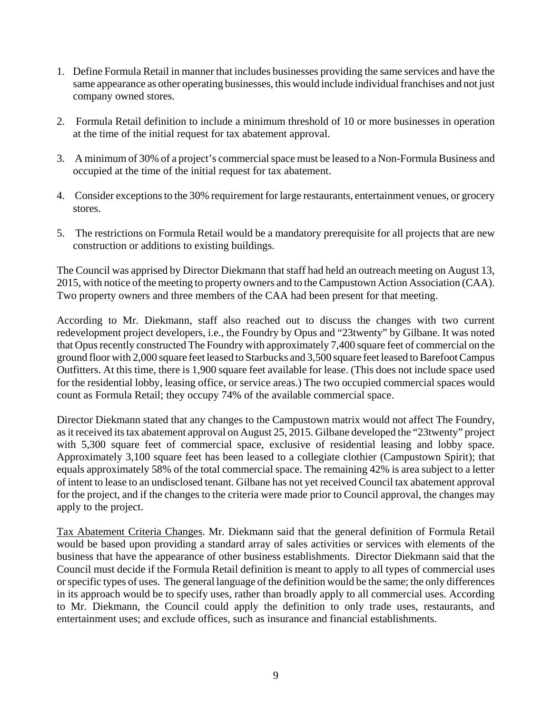- 1. Define Formula Retail in manner that includes businesses providing the same services and have the same appearance as other operating businesses, this would include individual franchises and not just company owned stores.
- 2. Formula Retail definition to include a minimum threshold of 10 or more businesses in operation at the time of the initial request for tax abatement approval.
- 3. A minimum of 30% of a project's commercial space must be leased to a Non-Formula Business and occupied at the time of the initial request for tax abatement.
- 4. Consider exceptions to the 30% requirement for large restaurants, entertainment venues, or grocery stores.
- 5. The restrictions on Formula Retail would be a mandatory prerequisite for all projects that are new construction or additions to existing buildings.

The Council was apprised by Director Diekmann that staff had held an outreach meeting on August 13, 2015, with notice of the meeting to property owners and to the Campustown Action Association (CAA). Two property owners and three members of the CAA had been present for that meeting.

According to Mr. Diekmann, staff also reached out to discuss the changes with two current redevelopment project developers, i.e., the Foundry by Opus and "23twenty" by Gilbane. It was noted that Opus recently constructed The Foundry with approximately 7,400 square feet of commercial on the ground floor with 2,000 square feet leased to Starbucks and 3,500 square feet leased to Barefoot Campus Outfitters. At this time, there is 1,900 square feet available for lease. (This does not include space used for the residential lobby, leasing office, or service areas.) The two occupied commercial spaces would count as Formula Retail; they occupy 74% of the available commercial space.

Director Diekmann stated that any changes to the Campustown matrix would not affect The Foundry, as it received its tax abatement approval on August 25, 2015. Gilbane developed the "23twenty" project with 5,300 square feet of commercial space, exclusive of residential leasing and lobby space. Approximately 3,100 square feet has been leased to a collegiate clothier (Campustown Spirit); that equals approximately 58% of the total commercial space. The remaining 42% is area subject to a letter of intent to lease to an undisclosed tenant. Gilbane has not yet received Council tax abatement approval for the project, and if the changes to the criteria were made prior to Council approval, the changes may apply to the project.

Tax Abatement Criteria Changes. Mr. Diekmann said that the general definition of Formula Retail would be based upon providing a standard array of sales activities or services with elements of the business that have the appearance of other business establishments. Director Diekmann said that the Council must decide if the Formula Retail definition is meant to apply to all types of commercial uses or specific types of uses. The general language of the definition would be the same; the only differences in its approach would be to specify uses, rather than broadly apply to all commercial uses. According to Mr. Diekmann, the Council could apply the definition to only trade uses, restaurants, and entertainment uses; and exclude offices, such as insurance and financial establishments.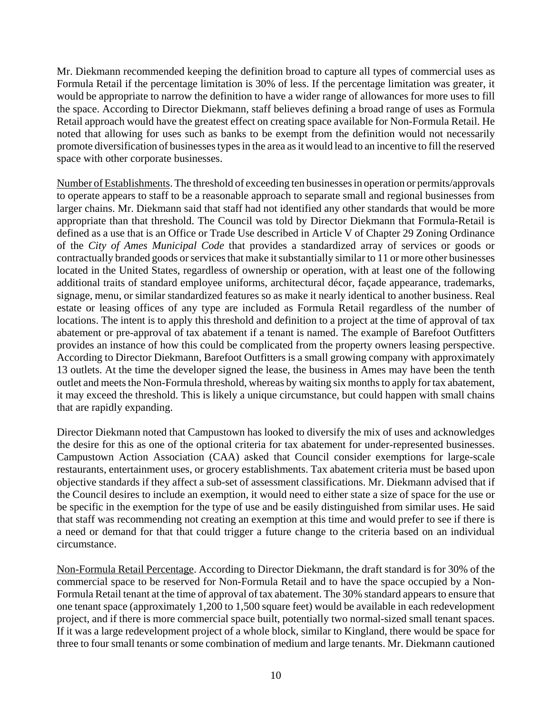Mr. Diekmann recommended keeping the definition broad to capture all types of commercial uses as Formula Retail if the percentage limitation is 30% of less. If the percentage limitation was greater, it would be appropriate to narrow the definition to have a wider range of allowances for more uses to fill the space. According to Director Diekmann, staff believes defining a broad range of uses as Formula Retail approach would have the greatest effect on creating space available for Non-Formula Retail. He noted that allowing for uses such as banks to be exempt from the definition would not necessarily promote diversification of businesses types in the area as it would lead to an incentive to fill the reserved space with other corporate businesses.

Number of Establishments. The threshold of exceeding ten businesses in operation or permits/approvals to operate appears to staff to be a reasonable approach to separate small and regional businesses from larger chains. Mr. Diekmann said that staff had not identified any other standards that would be more appropriate than that threshold. The Council was told by Director Diekmann that Formula-Retail is defined as a use that is an Office or Trade Use described in Article V of Chapter 29 Zoning Ordinance of the *City of Ames Municipal Code* that provides a standardized array of services or goods or contractually branded goods or services that make it substantially similar to 11 or more other businesses located in the United States, regardless of ownership or operation, with at least one of the following additional traits of standard employee uniforms, architectural décor, façade appearance, trademarks, signage, menu, or similar standardized features so as make it nearly identical to another business. Real estate or leasing offices of any type are included as Formula Retail regardless of the number of locations. The intent is to apply this threshold and definition to a project at the time of approval of tax abatement or pre-approval of tax abatement if a tenant is named. The example of Barefoot Outfitters provides an instance of how this could be complicated from the property owners leasing perspective. According to Director Diekmann, Barefoot Outfitters is a small growing company with approximately 13 outlets. At the time the developer signed the lease, the business in Ames may have been the tenth outlet and meets the Non-Formula threshold, whereas by waiting six months to apply for tax abatement, it may exceed the threshold. This is likely a unique circumstance, but could happen with small chains that are rapidly expanding.

Director Diekmann noted that Campustown has looked to diversify the mix of uses and acknowledges the desire for this as one of the optional criteria for tax abatement for under-represented businesses. Campustown Action Association (CAA) asked that Council consider exemptions for large-scale restaurants, entertainment uses, or grocery establishments. Tax abatement criteria must be based upon objective standards if they affect a sub-set of assessment classifications. Mr. Diekmann advised that if the Council desires to include an exemption, it would need to either state a size of space for the use or be specific in the exemption for the type of use and be easily distinguished from similar uses. He said that staff was recommending not creating an exemption at this time and would prefer to see if there is a need or demand for that that could trigger a future change to the criteria based on an individual circumstance.

Non-Formula Retail Percentage. According to Director Diekmann, the draft standard is for 30% of the commercial space to be reserved for Non-Formula Retail and to have the space occupied by a Non-Formula Retail tenant at the time of approval of tax abatement. The 30% standard appears to ensure that one tenant space (approximately 1,200 to 1,500 square feet) would be available in each redevelopment project, and if there is more commercial space built, potentially two normal-sized small tenant spaces. If it was a large redevelopment project of a whole block, similar to Kingland, there would be space for three to four small tenants or some combination of medium and large tenants. Mr. Diekmann cautioned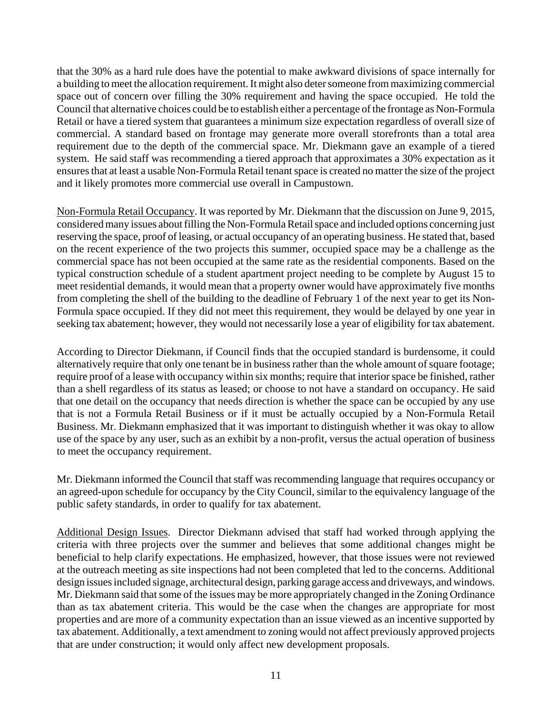that the 30% as a hard rule does have the potential to make awkward divisions of space internally for a building to meet the allocation requirement. It might also deter someone from maximizing commercial space out of concern over filling the 30% requirement and having the space occupied. He told the Council that alternative choices could be to establish either a percentage of the frontage as Non-Formula Retail or have a tiered system that guarantees a minimum size expectation regardless of overall size of commercial. A standard based on frontage may generate more overall storefronts than a total area requirement due to the depth of the commercial space. Mr. Diekmann gave an example of a tiered system. He said staff was recommending a tiered approach that approximates a 30% expectation as it ensures that at least a usable Non-Formula Retail tenant space is created no matter the size of the project and it likely promotes more commercial use overall in Campustown.

Non-Formula Retail Occupancy. It was reported by Mr. Diekmann that the discussion on June 9, 2015, considered many issues about filling the Non-Formula Retail space and included options concerning just reserving the space, proof of leasing, or actual occupancy of an operating business. He stated that, based on the recent experience of the two projects this summer, occupied space may be a challenge as the commercial space has not been occupied at the same rate as the residential components. Based on the typical construction schedule of a student apartment project needing to be complete by August 15 to meet residential demands, it would mean that a property owner would have approximately five months from completing the shell of the building to the deadline of February 1 of the next year to get its Non-Formula space occupied. If they did not meet this requirement, they would be delayed by one year in seeking tax abatement; however, they would not necessarily lose a year of eligibility for tax abatement.

According to Director Diekmann, if Council finds that the occupied standard is burdensome, it could alternatively require that only one tenant be in business rather than the whole amount of square footage; require proof of a lease with occupancy within six months; require that interior space be finished, rather than a shell regardless of its status as leased; or choose to not have a standard on occupancy. He said that one detail on the occupancy that needs direction is whether the space can be occupied by any use that is not a Formula Retail Business or if it must be actually occupied by a Non-Formula Retail Business. Mr. Diekmann emphasized that it was important to distinguish whether it was okay to allow use of the space by any user, such as an exhibit by a non-profit, versus the actual operation of business to meet the occupancy requirement.

Mr. Diekmann informed the Council that staff was recommending language that requires occupancy or an agreed-upon schedule for occupancy by the City Council, similar to the equivalency language of the public safety standards, in order to qualify for tax abatement.

Additional Design Issues. Director Diekmann advised that staff had worked through applying the criteria with three projects over the summer and believes that some additional changes might be beneficial to help clarify expectations. He emphasized, however, that those issues were not reviewed at the outreach meeting as site inspections had not been completed that led to the concerns. Additional design issues included signage, architectural design, parking garage access and driveways, and windows. Mr. Diekmann said that some of the issues may be more appropriately changed in the Zoning Ordinance than as tax abatement criteria. This would be the case when the changes are appropriate for most properties and are more of a community expectation than an issue viewed as an incentive supported by tax abatement. Additionally, a text amendment to zoning would not affect previously approved projects that are under construction; it would only affect new development proposals.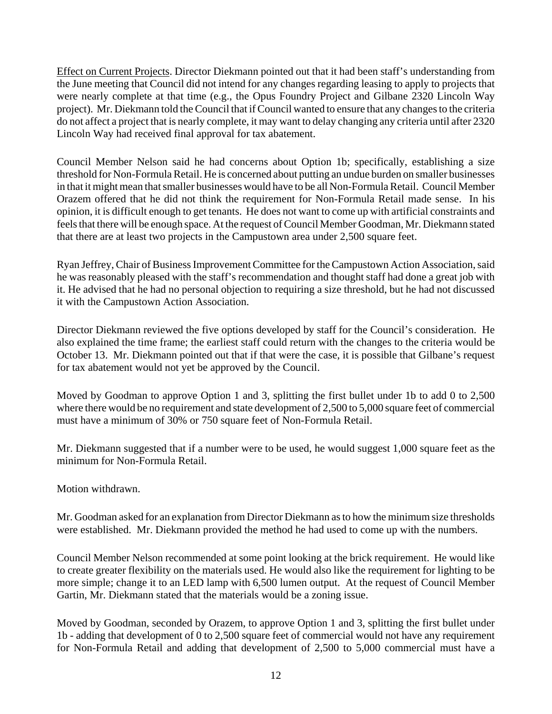Effect on Current Projects. Director Diekmann pointed out that it had been staff's understanding from the June meeting that Council did not intend for any changes regarding leasing to apply to projects that were nearly complete at that time (e.g., the Opus Foundry Project and Gilbane 2320 Lincoln Way project). Mr. Diekmann told the Council that if Council wanted to ensure that any changes to the criteria do not affect a project that is nearly complete, it may want to delay changing any criteria until after 2320 Lincoln Way had received final approval for tax abatement.

Council Member Nelson said he had concerns about Option 1b; specifically, establishing a size threshold for Non-Formula Retail. He is concerned about putting an undue burden on smaller businesses in that it might mean that smaller businesses would have to be all Non-Formula Retail. Council Member Orazem offered that he did not think the requirement for Non-Formula Retail made sense. In his opinion, it is difficult enough to get tenants. He does not want to come up with artificial constraints and feels that there will be enough space. At the request of Council Member Goodman, Mr. Diekmann stated that there are at least two projects in the Campustown area under 2,500 square feet.

Ryan Jeffrey, Chair of Business Improvement Committee for the Campustown Action Association, said he was reasonably pleased with the staff's recommendation and thought staff had done a great job with it. He advised that he had no personal objection to requiring a size threshold, but he had not discussed it with the Campustown Action Association.

Director Diekmann reviewed the five options developed by staff for the Council's consideration. He also explained the time frame; the earliest staff could return with the changes to the criteria would be October 13. Mr. Diekmann pointed out that if that were the case, it is possible that Gilbane's request for tax abatement would not yet be approved by the Council.

Moved by Goodman to approve Option 1 and 3, splitting the first bullet under 1b to add 0 to 2,500 where there would be no requirement and state development of 2,500 to 5,000 square feet of commercial must have a minimum of 30% or 750 square feet of Non-Formula Retail.

Mr. Diekmann suggested that if a number were to be used, he would suggest 1,000 square feet as the minimum for Non-Formula Retail.

Motion withdrawn.

Mr. Goodman asked for an explanation from Director Diekmann as to how the minimum size thresholds were established. Mr. Diekmann provided the method he had used to come up with the numbers.

Council Member Nelson recommended at some point looking at the brick requirement. He would like to create greater flexibility on the materials used. He would also like the requirement for lighting to be more simple; change it to an LED lamp with 6,500 lumen output. At the request of Council Member Gartin, Mr. Diekmann stated that the materials would be a zoning issue.

Moved by Goodman, seconded by Orazem, to approve Option 1 and 3, splitting the first bullet under 1b - adding that development of 0 to 2,500 square feet of commercial would not have any requirement for Non-Formula Retail and adding that development of 2,500 to 5,000 commercial must have a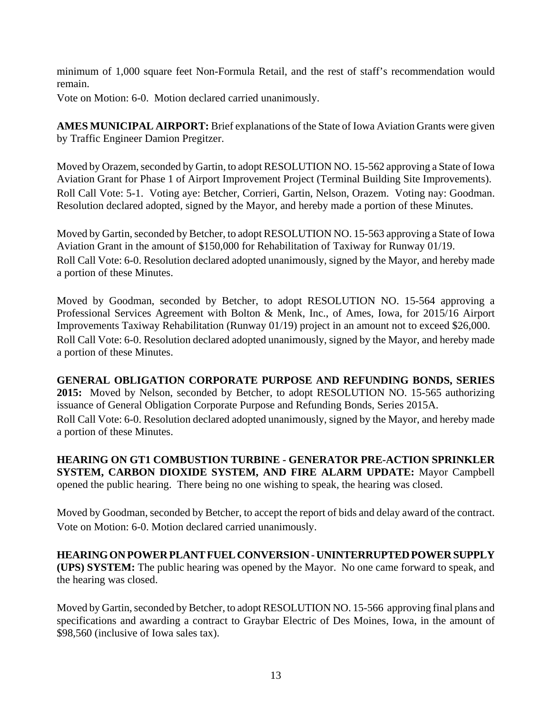minimum of 1,000 square feet Non-Formula Retail, and the rest of staff's recommendation would remain.

Vote on Motion: 6-0. Motion declared carried unanimously.

**AMES MUNICIPAL AIRPORT:** Brief explanations of the State of Iowa Aviation Grants were given by Traffic Engineer Damion Pregitzer.

Moved by Orazem, seconded by Gartin, to adopt RESOLUTION NO. 15-562 approving a State of Iowa Aviation Grant for Phase 1 of Airport Improvement Project (Terminal Building Site Improvements). Roll Call Vote: 5-1. Voting aye: Betcher, Corrieri, Gartin, Nelson, Orazem. Voting nay: Goodman. Resolution declared adopted, signed by the Mayor, and hereby made a portion of these Minutes.

Moved by Gartin, seconded by Betcher, to adopt RESOLUTION NO. 15-563 approving a State of Iowa Aviation Grant in the amount of \$150,000 for Rehabilitation of Taxiway for Runway 01/19. Roll Call Vote: 6-0. Resolution declared adopted unanimously, signed by the Mayor, and hereby made a portion of these Minutes.

Moved by Goodman, seconded by Betcher, to adopt RESOLUTION NO. 15-564 approving a Professional Services Agreement with Bolton & Menk, Inc., of Ames, Iowa, for 2015/16 Airport Improvements Taxiway Rehabilitation (Runway 01/19) project in an amount not to exceed \$26,000. Roll Call Vote: 6-0. Resolution declared adopted unanimously, signed by the Mayor, and hereby made a portion of these Minutes.

**GENERAL OBLIGATION CORPORATE PURPOSE AND REFUNDING BONDS, SERIES 2015:** Moved by Nelson, seconded by Betcher, to adopt RESOLUTION NO. 15-565 authorizing issuance of General Obligation Corporate Purpose and Refunding Bonds, Series 2015A. Roll Call Vote: 6-0. Resolution declared adopted unanimously, signed by the Mayor, and hereby made a portion of these Minutes.

**HEARING ON GT1 COMBUSTION TURBINE - GENERATOR PRE-ACTION SPRINKLER SYSTEM, CARBON DIOXIDE SYSTEM, AND FIRE ALARM UPDATE:** Mayor Campbell opened the public hearing. There being no one wishing to speak, the hearing was closed.

Moved by Goodman, seconded by Betcher, to accept the report of bids and delay award of the contract. Vote on Motion: 6-0. Motion declared carried unanimously.

**HEARING ON POWER PLANT FUEL CONVERSION - UNINTERRUPTED POWER SUPPLY (UPS) SYSTEM:** The public hearing was opened by the Mayor. No one came forward to speak, and the hearing was closed.

Moved by Gartin, seconded by Betcher, to adopt RESOLUTION NO. 15-566 approving final plans and specifications and awarding a contract to Graybar Electric of Des Moines, Iowa, in the amount of \$98,560 (inclusive of Iowa sales tax).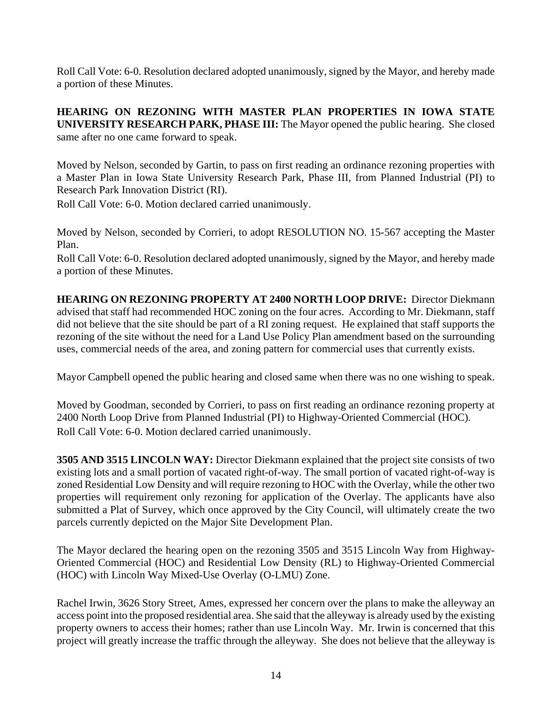Roll Call Vote: 6-0. Resolution declared adopted unanimously, signed by the Mayor, and hereby made a portion of these Minutes.

**HEARING ON REZONING WITH MASTER PLAN PROPERTIES IN IOWA STATE UNIVERSITY RESEARCH PARK, PHASE III:** The Mayor opened the public hearing. She closed same after no one came forward to speak.

Moved by Nelson, seconded by Gartin, to pass on first reading an ordinance rezoning properties with a Master Plan in Iowa State University Research Park, Phase III, from Planned Industrial (PI) to Research Park Innovation District (RI).

Roll Call Vote: 6-0. Motion declared carried unanimously.

Moved by Nelson, seconded by Corrieri, to adopt RESOLUTION NO. 15-567 accepting the Master Plan.

Roll Call Vote: 6-0. Resolution declared adopted unanimously, signed by the Mayor, and hereby made a portion of these Minutes.

**HEARING ON REZONING PROPERTY AT 2400 NORTH LOOP DRIVE:** Director Diekmann advised that staff had recommended HOC zoning on the four acres. According to Mr. Diekmann, staff did not believe that the site should be part of a RI zoning request. He explained that staff supports the rezoning of the site without the need for a Land Use Policy Plan amendment based on the surrounding uses, commercial needs of the area, and zoning pattern for commercial uses that currently exists.

Mayor Campbell opened the public hearing and closed same when there was no one wishing to speak.

Moved by Goodman, seconded by Corrieri, to pass on first reading an ordinance rezoning property at 2400 North Loop Drive from Planned Industrial (PI) to Highway-Oriented Commercial (HOC). Roll Call Vote: 6-0. Motion declared carried unanimously.

**3505 AND 3515 LINCOLN WAY:** Director Diekmann explained that the project site consists of two existing lots and a small portion of vacated right-of-way. The small portion of vacated right-of-way is zoned Residential Low Density and will require rezoning to HOC with the Overlay, while the other two properties will requirement only rezoning for application of the Overlay. The applicants have also submitted a Plat of Survey, which once approved by the City Council, will ultimately create the two parcels currently depicted on the Major Site Development Plan.

The Mayor declared the hearing open on the rezoning 3505 and 3515 Lincoln Way from Highway-Oriented Commercial (HOC) and Residential Low Density (RL) to Highway-Oriented Commercial (HOC) with Lincoln Way Mixed-Use Overlay (O-LMU) Zone.

Rachel Irwin, 3626 Story Street, Ames, expressed her concern over the plans to make the alleyway an access point into the proposed residential area. She said that the alleyway is already used by the existing property owners to access their homes; rather than use Lincoln Way. Mr. Irwin is concerned that this project will greatly increase the traffic through the alleyway. She does not believe that the alleyway is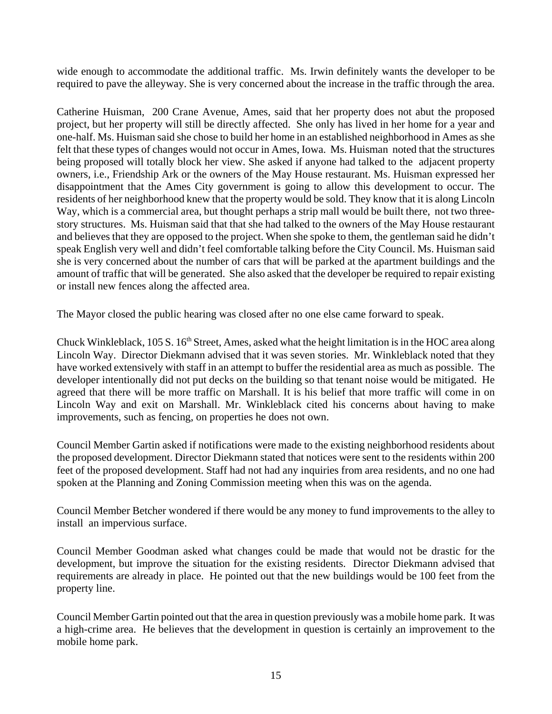wide enough to accommodate the additional traffic. Ms. Irwin definitely wants the developer to be required to pave the alleyway. She is very concerned about the increase in the traffic through the area.

Catherine Huisman, 200 Crane Avenue, Ames, said that her property does not abut the proposed project, but her property will still be directly affected. She only has lived in her home for a year and one-half. Ms. Huisman said she chose to build her home in an established neighborhood in Ames as she felt that these types of changes would not occur in Ames, Iowa. Ms. Huisman noted that the structures being proposed will totally block her view. She asked if anyone had talked to the adjacent property owners, i.e., Friendship Ark or the owners of the May House restaurant. Ms. Huisman expressed her disappointment that the Ames City government is going to allow this development to occur. The residents of her neighborhood knew that the property would be sold. They know that it is along Lincoln Way, which is a commercial area, but thought perhaps a strip mall would be built there, not two threestory structures. Ms. Huisman said that that she had talked to the owners of the May House restaurant and believes that they are opposed to the project. When she spoke to them, the gentleman said he didn't speak English very well and didn't feel comfortable talking before the City Council. Ms. Huisman said she is very concerned about the number of cars that will be parked at the apartment buildings and the amount of traffic that will be generated. She also asked that the developer be required to repair existing or install new fences along the affected area.

The Mayor closed the public hearing was closed after no one else came forward to speak.

Chuck Winkleblack, 105 S. 16<sup>th</sup> Street, Ames, asked what the height limitation is in the HOC area along Lincoln Way. Director Diekmann advised that it was seven stories. Mr. Winkleblack noted that they have worked extensively with staff in an attempt to buffer the residential area as much as possible. The developer intentionally did not put decks on the building so that tenant noise would be mitigated. He agreed that there will be more traffic on Marshall. It is his belief that more traffic will come in on Lincoln Way and exit on Marshall. Mr. Winkleblack cited his concerns about having to make improvements, such as fencing, on properties he does not own.

Council Member Gartin asked if notifications were made to the existing neighborhood residents about the proposed development. Director Diekmann stated that notices were sent to the residents within 200 feet of the proposed development. Staff had not had any inquiries from area residents, and no one had spoken at the Planning and Zoning Commission meeting when this was on the agenda.

Council Member Betcher wondered if there would be any money to fund improvements to the alley to install an impervious surface.

Council Member Goodman asked what changes could be made that would not be drastic for the development, but improve the situation for the existing residents. Director Diekmann advised that requirements are already in place. He pointed out that the new buildings would be 100 feet from the property line.

Council Member Gartin pointed out that the area in question previously was a mobile home park. It was a high-crime area. He believes that the development in question is certainly an improvement to the mobile home park.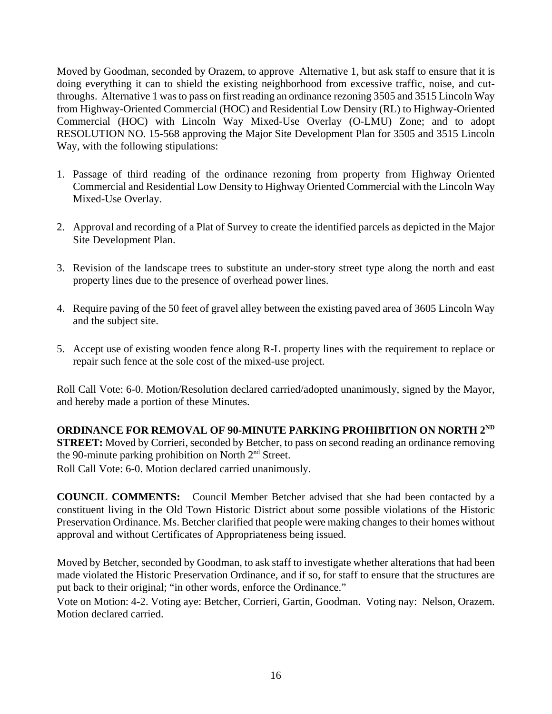Moved by Goodman, seconded by Orazem, to approve Alternative 1, but ask staff to ensure that it is doing everything it can to shield the existing neighborhood from excessive traffic, noise, and cutthroughs. Alternative 1 was to pass on first reading an ordinance rezoning 3505 and 3515 Lincoln Way from Highway-Oriented Commercial (HOC) and Residential Low Density (RL) to Highway-Oriented Commercial (HOC) with Lincoln Way Mixed-Use Overlay (O-LMU) Zone; and to adopt RESOLUTION NO. 15-568 approving the Major Site Development Plan for 3505 and 3515 Lincoln Way, with the following stipulations:

- 1. Passage of third reading of the ordinance rezoning from property from Highway Oriented Commercial and Residential Low Density to Highway Oriented Commercial with the Lincoln Way Mixed-Use Overlay.
- 2. Approval and recording of a Plat of Survey to create the identified parcels as depicted in the Major Site Development Plan.
- 3. Revision of the landscape trees to substitute an under-story street type along the north and east property lines due to the presence of overhead power lines.
- 4. Require paving of the 50 feet of gravel alley between the existing paved area of 3605 Lincoln Way and the subject site.
- 5. Accept use of existing wooden fence along R-L property lines with the requirement to replace or repair such fence at the sole cost of the mixed-use project.

Roll Call Vote: 6-0. Motion/Resolution declared carried/adopted unanimously, signed by the Mayor, and hereby made a portion of these Minutes.

## **ORDINANCE FOR REMOVAL OF 90-MINUTE PARKING PROHIBITION ON NORTH 2ND**

**STREET:** Moved by Corrieri, seconded by Betcher, to pass on second reading an ordinance removing the 90-minute parking prohibition on North 2<sup>nd</sup> Street.

Roll Call Vote: 6-0. Motion declared carried unanimously.

**COUNCIL COMMENTS:** Council Member Betcher advised that she had been contacted by a constituent living in the Old Town Historic District about some possible violations of the Historic Preservation Ordinance. Ms. Betcher clarified that people were making changes to their homes without approval and without Certificates of Appropriateness being issued.

Moved by Betcher, seconded by Goodman, to ask staff to investigate whether alterations that had been made violated the Historic Preservation Ordinance, and if so, for staff to ensure that the structures are put back to their original; "in other words, enforce the Ordinance."

Vote on Motion: 4-2. Voting aye: Betcher, Corrieri, Gartin, Goodman. Voting nay: Nelson, Orazem. Motion declared carried.